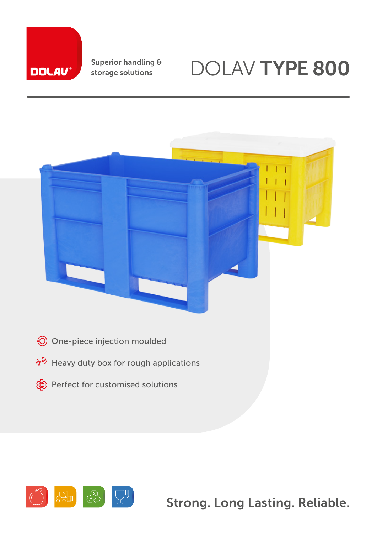# **DOLAV**

Superior handling & storage solutions

## DOLAV TYPE 800



- One-piece injection moulded
- $\mathbb{H}$  Heavy duty box for rough applications
- <sup>®</sup> Perfect for customised solutions



Strong. Long Lasting. Reliable.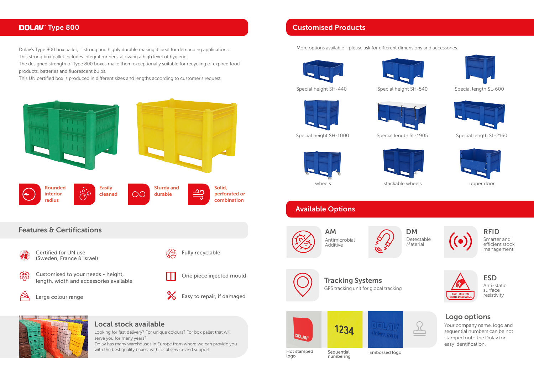

#### Local stock available

Looking for fast delivery? For unique colours? For box pallet that will serve you for many years?

Dolav has many warehouses in Europe from where we can provide you with the best quality boxes, with local service and support.



#### **DOLAV**<sup>®</sup> Type 800

Dolav's Type 800 box pallet, is strong and highly durable making it ideal for demanding applications. This strong box pallet includes integral runners, allowing a high level of hygiene.



GPS tracking unit for global tracking Tracking Systems and the ESD





Hot stamped Sequential Embossed logo<br>
logo numbering





The designed strength of Type 800 boxes make them exceptionally suitable for recycling of expired food products, batteries and fluorescent bulbs.

This UN certified box is produced in different sizes and lengths according to customer's request.

More options available - please ask for different dimensions and accessories.



numbering



Your company name, logo and sequential numbers can be hot stamped onto the Dolav for easy identification.

#### Logo options

#### Customised Products

wheels



Special height SH-440 Special height SH-540





Special height SH-1000 Special length SL-1905 Special length SL-2160



### Available Options

Detectable Material



Smarter and efficient stock management



Anti-static surface resistivity





AM Antimicrobial Additive



Special length SL-600





stackable wheels